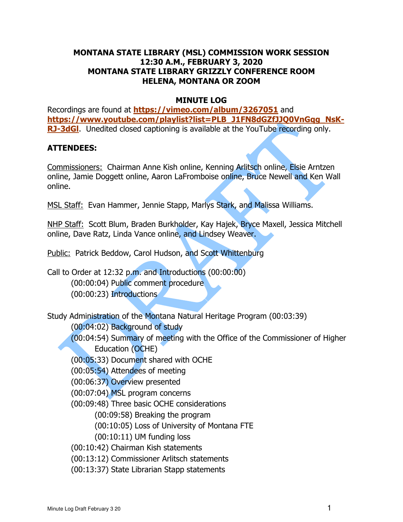## **MONTANA STATE LIBRARY (MSL) COMMISSION WORK SESSION 12:30 A.M., FEBRUARY 3, 2020 MONTANA STATE LIBRARY GRIZZLY CONFERENCE ROOM HELENA, MONTANA OR ZOOM**

## **MINUTE LOG**

**RJ-3dGl**. Unedited closed captioning is available at the YouTube recording only. Recordings are found at **<https://vimeo.com/album/3267051>**and **[https://www.youtube.com/playlist?list=PLB\\_J1FN8dGZfJJQ0VnGqg\\_NsK](https://www.youtube.com/playlist?list=PLB_J1FN8dGZfJJQ0VnGqg_NsK)-**

## **ATTENDEES:**

Commissioners: Chairman Anne Kish online, Kenning Arlitsch online, Elsie Arntzen online, Jamie Doggett online, Aaron LaFromboise online, Bruce Newell and Ken Wall online.

online.<br><u>MSL Staff:</u> Evan Hammer, Jennie Stapp, Marlys Stark, and Malissa Williams.

NHP Staff: Scott Blum, Braden Burkholder, Kay Hajek, Bryce Maxell, Jessica Mitchell online, Dave Ratz, Linda Vance online, and Lindsey Weaver.

Public: Patrick Beddow, Carol Hudson, and Scott Whittenburg

Call to Order at 12:32 p.m. and Introductions (00:00:00) (00:00:04) Public comment procedure (00:00:23) Introductions

Study Administration of the Montana Natural Heritage Program (00:03:39)

(00:04:02) Background of study

(00:04:54) Summary of meeting with the Office of the Commissioner of Higher

Education (OCHE)

(00:05:33) Document shared with OCHE

(00:05:54) Attendees of meeting

(00:06:37) Overview presented

(00:07:04) MSL program concerns

(00:09:48) Three basic OCHE considerations

(00:09:58) Breaking the program

(00:10:05) Loss of University of Montana FTE

(00:10:11) UM funding loss

(00:10:42) Chairman Kish statements

(00:13:12) Commissioner Arlitsch statements

(00:13:37) State Librarian Stapp statements